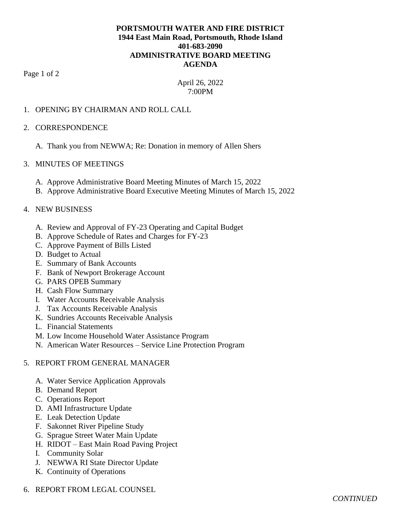## **PORTSMOUTH WATER AND FIRE DISTRICT 1944 East Main Road, Portsmouth, Rhode Island 401-683-2090 ADMINISTRATIVE BOARD MEETING AGENDA**

Page 1 of 2

# April 26, 2022 7:00PM

## 1. OPENING BY CHAIRMAN AND ROLL CALL

#### 2. CORRESPONDENCE

A. Thank you from NEWWA; Re: Donation in memory of Allen Shers

## 3. MINUTES OF MEETINGS

- A. Approve Administrative Board Meeting Minutes of March 15, 2022
- B. Approve Administrative Board Executive Meeting Minutes of March 15, 2022

## 4. NEW BUSINESS

- A. Review and Approval of FY-23 Operating and Capital Budget
- B. Approve Schedule of Rates and Charges for FY-23
- C. Approve Payment of Bills Listed
- D. Budget to Actual
- E. Summary of Bank Accounts
- F. Bank of Newport Brokerage Account
- G. PARS OPEB Summary
- H. Cash Flow Summary
- I. Water Accounts Receivable Analysis
- J. Tax Accounts Receivable Analysis
- K. Sundries Accounts Receivable Analysis
- L. Financial Statements
- M. Low Income Household Water Assistance Program
- N. American Water Resources Service Line Protection Program

# 5. REPORT FROM GENERAL MANAGER

- A. Water Service Application Approvals
- B. Demand Report
- C. Operations Report
- D. AMI Infrastructure Update
- E. Leak Detection Update
- F. Sakonnet River Pipeline Study
- G. Sprague Street Water Main Update
- H. RIDOT East Main Road Paving Project
- I. Community Solar
- J. NEWWA RI State Director Update
- K. Continuity of Operations
- 6. REPORT FROM LEGAL COUNSEL